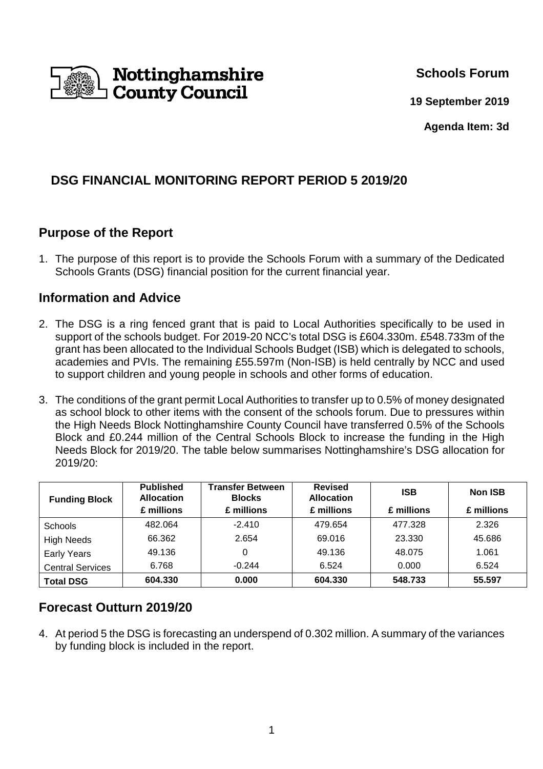

**Schools Forum** 

**19 September 2019**

**Agenda Item: 3d** 

# **DSG FINANCIAL MONITORING REPORT PERIOD 5 2019/20**

## **Purpose of the Report**

1. The purpose of this report is to provide the Schools Forum with a summary of the Dedicated Schools Grants (DSG) financial position for the current financial year.

## **Information and Advice**

- 2. The DSG is a ring fenced grant that is paid to Local Authorities specifically to be used in support of the schools budget. For 2019-20 NCC's total DSG is £604.330m. £548.733m of the grant has been allocated to the Individual Schools Budget (ISB) which is delegated to schools, academies and PVIs. The remaining £55.597m (Non-ISB) is held centrally by NCC and used to support children and young people in schools and other forms of education.
- 3. The conditions of the grant permit Local Authorities to transfer up to 0.5% of money designated as school block to other items with the consent of the schools forum. Due to pressures within the High Needs Block Nottinghamshire County Council have transferred 0.5% of the Schools Block and £0.244 million of the Central Schools Block to increase the funding in the High Needs Block for 2019/20. The table below summarises Nottinghamshire's DSG allocation for 2019/20:

| <b>Funding Block</b>    | <b>Published</b><br><b>Allocation</b> | <b>Transfer Between</b><br><b>Blocks</b> | <b>Revised</b><br><b>Allocation</b> | <b>ISB</b> | <b>Non ISB</b> |
|-------------------------|---------------------------------------|------------------------------------------|-------------------------------------|------------|----------------|
|                         | £ millions                            | £ millions                               | £ millions                          | £ millions | £ millions     |
| Schools                 | 482.064                               | $-2.410$                                 | 479.654                             | 477.328    | 2.326          |
| <b>High Needs</b>       | 66.362                                | 2.654                                    | 69.016                              | 23.330     | 45.686         |
| <b>Early Years</b>      | 49.136                                | 0                                        | 49.136                              | 48.075     | 1.061          |
| <b>Central Services</b> | 6.768                                 | $-0.244$                                 | 6.524                               | 0.000      | 6.524          |
| <b>Total DSG</b>        | 604.330                               | 0.000                                    | 604.330                             | 548.733    | 55.597         |

## **Forecast Outturn 2019/20**

4. At period 5 the DSG is forecasting an underspend of 0.302 million. A summary of the variances by funding block is included in the report.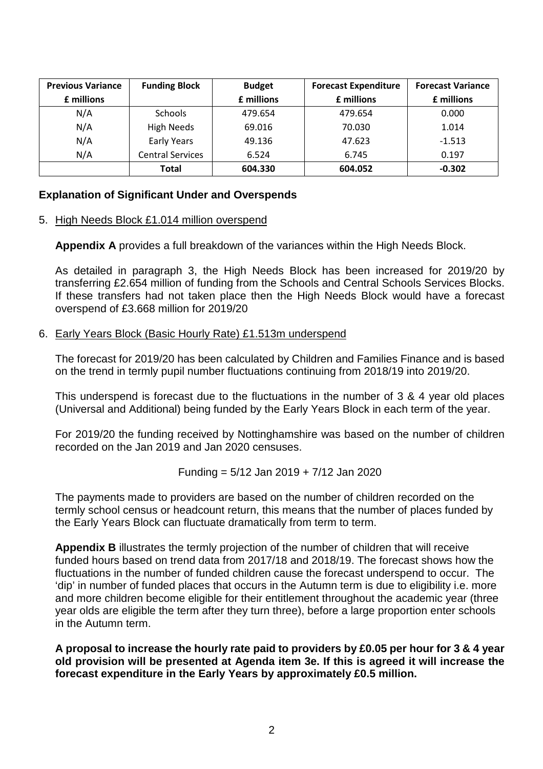| <b>Previous Variance</b> | <b>Funding Block</b>    | <b>Budget</b> | <b>Forecast Expenditure</b> | <b>Forecast Variance</b> |
|--------------------------|-------------------------|---------------|-----------------------------|--------------------------|
| £ millions               |                         | £ millions    | £ millions                  | £ millions               |
| N/A                      | <b>Schools</b>          | 479.654       | 479.654                     | 0.000                    |
| N/A                      | High Needs              | 69.016        | 70.030                      | 1.014                    |
| N/A                      | <b>Early Years</b>      | 49.136        | 47.623                      | $-1.513$                 |
| N/A                      | <b>Central Services</b> | 6.524         | 6.745                       | 0.197                    |
|                          | Total                   | 604.330       | 604.052                     | $-0.302$                 |

### **Explanation of Significant Under and Overspends**

#### 5. High Needs Block £1.014 million overspend

**Appendix A** provides a full breakdown of the variances within the High Needs Block.

As detailed in paragraph 3, the High Needs Block has been increased for 2019/20 by transferring £2.654 million of funding from the Schools and Central Schools Services Blocks. If these transfers had not taken place then the High Needs Block would have a forecast overspend of £3.668 million for 2019/20

#### 6. Early Years Block (Basic Hourly Rate) £1.513m underspend

The forecast for 2019/20 has been calculated by Children and Families Finance and is based on the trend in termly pupil number fluctuations continuing from 2018/19 into 2019/20.

This underspend is forecast due to the fluctuations in the number of 3 & 4 year old places (Universal and Additional) being funded by the Early Years Block in each term of the year.

For 2019/20 the funding received by Nottinghamshire was based on the number of children recorded on the Jan 2019 and Jan 2020 censuses.

Funding = 
$$
5/12
$$
 Jan 2019 +  $7/12$  Jan 2020

The payments made to providers are based on the number of children recorded on the termly school census or headcount return, this means that the number of places funded by the Early Years Block can fluctuate dramatically from term to term.

**Appendix B** illustrates the termly projection of the number of children that will receive funded hours based on trend data from 2017/18 and 2018/19. The forecast shows how the fluctuations in the number of funded children cause the forecast underspend to occur. The 'dip' in number of funded places that occurs in the Autumn term is due to eligibility i.e. more and more children become eligible for their entitlement throughout the academic year (three year olds are eligible the term after they turn three), before a large proportion enter schools in the Autumn term.

**A proposal to increase the hourly rate paid to providers by £0.05 per hour for 3 & 4 year old provision will be presented at Agenda item 3e. If this is agreed it will increase the forecast expenditure in the Early Years by approximately £0.5 million.**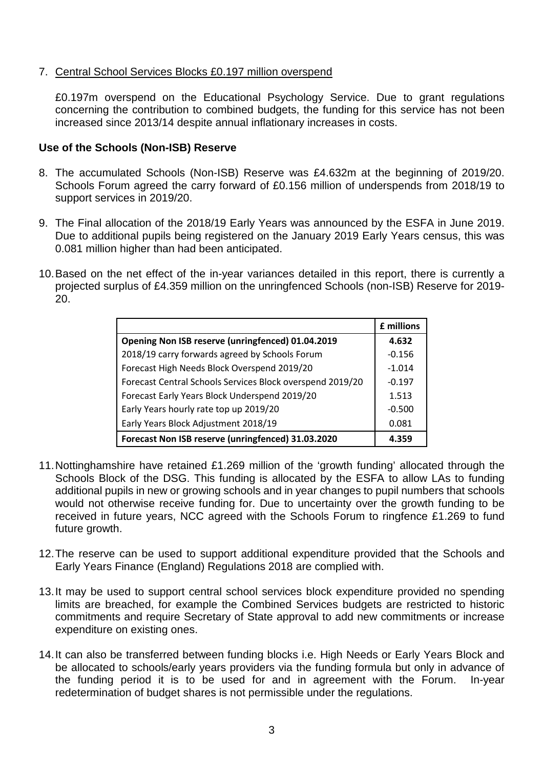### 7. Central School Services Blocks £0.197 million overspend

£0.197m overspend on the Educational Psychology Service. Due to grant regulations concerning the contribution to combined budgets, the funding for this service has not been increased since 2013/14 despite annual inflationary increases in costs.

### **Use of the Schools (Non-ISB) Reserve**

- 8. The accumulated Schools (Non-ISB) Reserve was £4.632m at the beginning of 2019/20. Schools Forum agreed the carry forward of £0.156 million of underspends from 2018/19 to support services in 2019/20.
- 9. The Final allocation of the 2018/19 Early Years was announced by the ESFA in June 2019. Due to additional pupils being registered on the January 2019 Early Years census, this was 0.081 million higher than had been anticipated.
- 10. Based on the net effect of the in-year variances detailed in this report, there is currently a projected surplus of £4.359 million on the unringfenced Schools (non-ISB) Reserve for 2019- 20.

|                                                           | £ millions |
|-----------------------------------------------------------|------------|
| Opening Non ISB reserve (unringfenced) 01.04.2019         | 4.632      |
| 2018/19 carry forwards agreed by Schools Forum            | $-0.156$   |
| Forecast High Needs Block Overspend 2019/20               | $-1.014$   |
| Forecast Central Schools Services Block overspend 2019/20 | $-0.197$   |
| Forecast Early Years Block Underspend 2019/20             | 1.513      |
| Early Years hourly rate top up 2019/20                    | $-0.500$   |
| Early Years Block Adjustment 2018/19                      | 0.081      |
| Forecast Non ISB reserve (unringfenced) 31.03.2020        | 4.359      |

- 11. Nottinghamshire have retained £1.269 million of the 'growth funding' allocated through the Schools Block of the DSG. This funding is allocated by the ESFA to allow LAs to funding additional pupils in new or growing schools and in year changes to pupil numbers that schools would not otherwise receive funding for. Due to uncertainty over the growth funding to be received in future years, NCC agreed with the Schools Forum to ringfence £1.269 to fund future growth.
- 12. The reserve can be used to support additional expenditure provided that the Schools and Early Years Finance (England) Regulations 2018 are complied with.
- 13. It may be used to support central school services block expenditure provided no spending limits are breached, for example the Combined Services budgets are restricted to historic commitments and require Secretary of State approval to add new commitments or increase expenditure on existing ones.
- 14. It can also be transferred between funding blocks i.e. High Needs or Early Years Block and be allocated to schools/early years providers via the funding formula but only in advance of the funding period it is to be used for and in agreement with the Forum. In-year redetermination of budget shares is not permissible under the regulations.